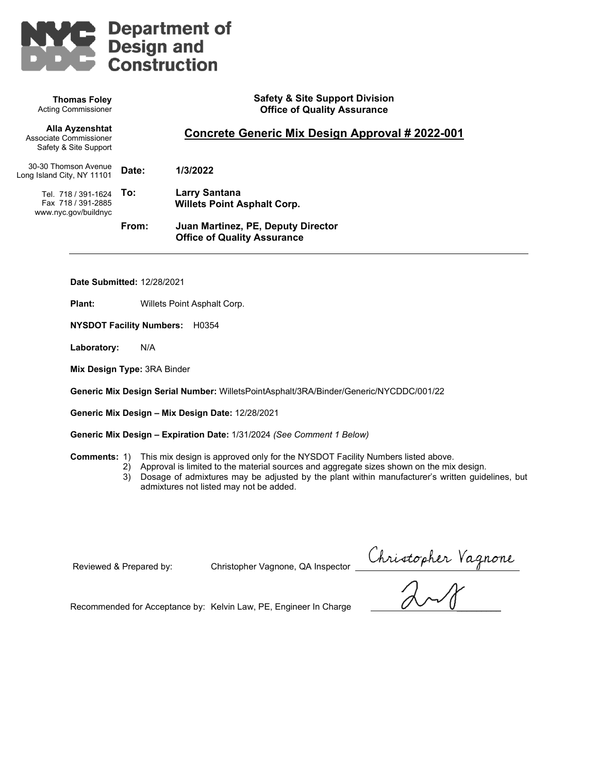

**Safety & Site Support Division Office of Quality Assurance Concrete Generic Mix Design Approval # 2022-001 Date: 1/3/2022 To: Larry Santana Willets Point Asphalt Corp. From: Juan Martinez, PE, Deputy Director Office of Quality Assurance Thomas Foley** Acting Commissioner **Alla Ayzenshtat** Associate Commissioner Safety & Site Support 30-30 Thomson Avenue Long Island City, NY 11101 Tel. 718 / 391-1624 **To:** Fax 718 / 391-2885 www.nyc.gov/buildnyc

**Date Submitted:** 12/28/2021

**Plant:** Willets Point Asphalt Corp.

**NYSDOT Facility Numbers:** H0354

**Laboratory:** N/A

**Mix Design Type:** 3RA Binder

**Generic Mix Design Serial Number:** WilletsPointAsphalt/3RA/Binder/Generic/NYCDDC/001/22

**Generic Mix Design – Mix Design Date:** 12/28/2021

**Generic Mix Design – Expiration Date:** 1/31/2024 *(See Comment 1 Below)*

**Comments:** 1) This mix design is approved only for the NYSDOT Facility Numbers listed above.

- 2) Approval is limited to the material sources and aggregate sizes shown on the mix design.
	- 3) Dosage of admixtures may be adjusted by the plant within manufacturer's written guidelines, but admixtures not listed may not be added.

Reviewed & Prepared by: Christopher Vagnone, QA Inspector

Reviewed & Prepared by: Christopher Vagnone, QA Inspector Christopher Vagnone<br>Recommended for Acceptance by: Kelvin Law, PE, Engineer In Charge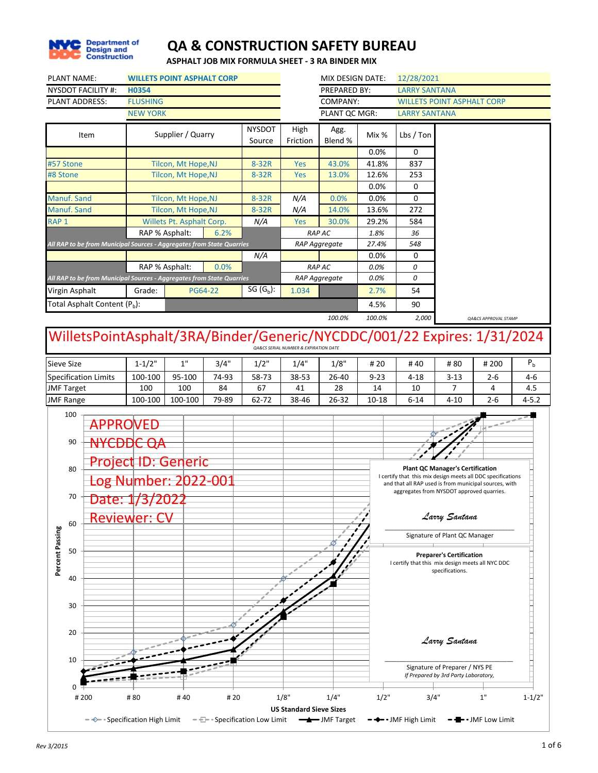

**ASPHALT JOB MIX FORMULA SHEET - 3 RA BINDER MIX**

|                  | <b>PLANT NAME:</b>                                                                                                |                                                                       |                 | <b>WILLETS POINT ASPHALT CORP</b>           |         |                               |                                                      | MIX DESIGN DATE:           |               | 12/28/2021                                                                                                                                                        |                                                                        |                                         |                |
|------------------|-------------------------------------------------------------------------------------------------------------------|-----------------------------------------------------------------------|-----------------|---------------------------------------------|---------|-------------------------------|------------------------------------------------------|----------------------------|---------------|-------------------------------------------------------------------------------------------------------------------------------------------------------------------|------------------------------------------------------------------------|-----------------------------------------|----------------|
|                  |                                                                                                                   | <b>NYSDOT FACILITY #:</b>                                             | <b>H0354</b>    |                                             |         |                               |                                                      | PREPARED BY:               |               | <b>LARRY SANTANA</b>                                                                                                                                              |                                                                        |                                         |                |
|                  |                                                                                                                   | <b>PLANT ADDRESS:</b>                                                 | <b>FLUSHING</b> |                                             |         |                               |                                                      | COMPANY:                   |               |                                                                                                                                                                   | <b>WILLETS POINT ASPHALT CORP</b>                                      |                                         |                |
|                  |                                                                                                                   |                                                                       | <b>NEW YORK</b> |                                             |         |                               |                                                      | PLANT QC MGR:              |               | <b>LARRY SANTANA</b>                                                                                                                                              |                                                                        |                                         |                |
|                  |                                                                                                                   | Item                                                                  |                 | Supplier / Quarry                           |         | <b>NYSDOT</b><br>Source       | High<br>Friction                                     | Agg.<br>Blend %            | Mix %         | Lbs / Ton                                                                                                                                                         |                                                                        |                                         |                |
|                  |                                                                                                                   |                                                                       |                 |                                             |         |                               |                                                      |                            | 0.0%          | 0                                                                                                                                                                 |                                                                        |                                         |                |
|                  | #57 Stone                                                                                                         |                                                                       |                 | Tilcon, Mt Hope, NJ                         |         | $8-32R$                       | Yes                                                  | 43.0%                      | 41.8%         | 837                                                                                                                                                               |                                                                        |                                         |                |
| #8 Stone         |                                                                                                                   |                                                                       |                 | Tilcon, Mt Hope, NJ                         |         | 8-32R                         | Yes                                                  | 13.0%                      | 12.6%         | 253                                                                                                                                                               |                                                                        |                                         |                |
|                  |                                                                                                                   |                                                                       |                 |                                             |         |                               |                                                      |                            | 0.0%          | 0                                                                                                                                                                 |                                                                        |                                         |                |
|                  | <b>Manuf. Sand</b>                                                                                                |                                                                       |                 | Tilcon, Mt Hope, NJ                         |         | 8-32R                         | N/A                                                  | 0.0%                       | 0.0%          | 0                                                                                                                                                                 |                                                                        |                                         |                |
| RAP <sub>1</sub> | Manuf. Sand                                                                                                       |                                                                       |                 | Tilcon, Mt Hope, NJ                         |         | 8-32R                         | N/A                                                  | 14.0%                      | 13.6%         | 272                                                                                                                                                               |                                                                        |                                         |                |
|                  |                                                                                                                   |                                                                       |                 | Willets Pt. Asphalt Corp.<br>RAP % Asphalt: | 6.2%    | N/A                           | Yes                                                  | 30.0%<br><b>RAP AC</b>     | 29.2%<br>1.8% | 584<br>36                                                                                                                                                         |                                                                        |                                         |                |
|                  |                                                                                                                   | All RAP to be from Municipal Sources - Aggregates from State Quarries |                 |                                             |         |                               |                                                      | RAP Aggregate              | 27.4%         | 548                                                                                                                                                               |                                                                        |                                         |                |
|                  |                                                                                                                   |                                                                       |                 |                                             |         | N/A                           |                                                      |                            | 0.0%          | 0                                                                                                                                                                 |                                                                        |                                         |                |
|                  |                                                                                                                   |                                                                       |                 | RAP % Asphalt:                              | 0.0%    |                               |                                                      | <b>RAP AC</b>              | 0.0%          | 0                                                                                                                                                                 |                                                                        |                                         |                |
|                  |                                                                                                                   | All RAP to be from Municipal Sources - Aggregates from State Quarries |                 |                                             |         |                               |                                                      | RAP Aggregate              | 0.0%          | 0                                                                                                                                                                 |                                                                        |                                         |                |
|                  | Virgin Asphalt                                                                                                    |                                                                       | Grade:          |                                             | PG64-22 | SG $(G_b)$ :                  | 1.034                                                |                            | 2.7%          | 54                                                                                                                                                                |                                                                        |                                         |                |
|                  |                                                                                                                   | Total Asphalt Content (P <sub>h</sub> ):                              |                 |                                             |         |                               |                                                      |                            | 4.5%          | 90                                                                                                                                                                |                                                                        |                                         |                |
|                  |                                                                                                                   |                                                                       |                 |                                             |         |                               |                                                      | 100.0%                     | 100.0%        | 2,000                                                                                                                                                             |                                                                        | QA&CS APPROVAL STAMP                    |                |
|                  | WilletsPointAsphalt/3RA/Binder/Generic/NYCDDC/001/22 Expires: 1/31/2024<br>1"<br>$1 - 1/2"$<br>3/4"<br>Sieve Size |                                                                       |                 |                                             |         |                               | <b>OA&amp;CS SERIAL NUMBER &amp; EXPIRATION DATE</b> |                            |               |                                                                                                                                                                   |                                                                        |                                         |                |
|                  |                                                                                                                   |                                                                       |                 |                                             |         | 1/2"                          | 1/4"                                                 | 1/8"                       | # 20          | #40                                                                                                                                                               | #80                                                                    | # 200                                   | P <sub>h</sub> |
|                  |                                                                                                                   | <b>Specification Limits</b>                                           | 100-100         | 95-100                                      | 74-93   | 58-73                         | 38-53                                                | 26-40                      | $9 - 23$      | $4 - 18$                                                                                                                                                          | $3 - 13$                                                               | $2 - 6$                                 | 4-6            |
|                  | <b>JMF Target</b>                                                                                                 |                                                                       | 100             | 100                                         | 84      | 67                            | 41                                                   | 28                         | 14            | 10                                                                                                                                                                | 7                                                                      | 4                                       | 4.5            |
|                  | <b>JMF Range</b>                                                                                                  |                                                                       | 100-100         | 100-100                                     | 79-89   | 62-72                         | 38-46                                                | 26-32                      | $10 - 18$     | $6 - 14$                                                                                                                                                          | $4 - 10$                                                               | $2 - 6$                                 | $4 - 5.2$      |
|                  | 100<br>90                                                                                                         | <b>APPROVED</b><br><del>NYCDDC QA</del>                               |                 | <b>Project ID: Generic</b>                  |         |                               |                                                      |                            |               |                                                                                                                                                                   |                                                                        |                                         |                |
|                  | 80<br>70                                                                                                          | Date: 1/3/2022                                                        |                 | Log Number: 2022-001                        |         |                               |                                                      |                            |               | I certify that this mix design meets all DDC specifications<br>and that all RAP used is from municipal sources, with<br>aggregates from NYSDOT approved quarries. | <b>Plant QC Manager's Certification</b>                                |                                         |                |
|                  | 60                                                                                                                | <u> Reviewer: C\</u>                                                  |                 |                                             |         |                               |                                                      |                            |               |                                                                                                                                                                   | Larry Santana                                                          |                                         |                |
| Percent Passing  | 50                                                                                                                |                                                                       |                 |                                             |         |                               |                                                      |                            |               |                                                                                                                                                                   | Signature of Plant QC Manager<br><b>Preparer's Certification</b>       |                                         |                |
|                  | 40                                                                                                                |                                                                       |                 |                                             |         |                               |                                                      |                            |               | I certify that this mix design meets all NYC DDC                                                                                                                  | specifications.                                                        |                                         |                |
|                  | 30                                                                                                                |                                                                       |                 |                                             |         |                               |                                                      |                            |               |                                                                                                                                                                   |                                                                        |                                         |                |
|                  |                                                                                                                   |                                                                       |                 |                                             |         |                               |                                                      |                            |               |                                                                                                                                                                   |                                                                        |                                         |                |
|                  | 20                                                                                                                |                                                                       |                 |                                             |         |                               |                                                      |                            |               |                                                                                                                                                                   | Larry Santana                                                          |                                         |                |
|                  | 10<br>0                                                                                                           |                                                                       |                 |                                             |         |                               |                                                      |                            |               |                                                                                                                                                                   | Signature of Preparer / NYS PE<br>If Prepared by 3rd Party Laboratory, |                                         |                |
|                  |                                                                                                                   | #200                                                                  | #80             | #40                                         | # 20    |                               | 1/8"<br><b>US Standard Sieve Sizes</b>               | 1/4"                       | $1/2$ "       | 3/4"                                                                                                                                                              |                                                                        | 1"                                      | $1 - 1/2"$     |
|                  |                                                                                                                   | $-\Leftrightarrow$ - Specification High Limit                         |                 |                                             |         | - - - Specification Low Limit |                                                      | <b>Solution</b> JMF Target |               | <b>- → -</b> JMF High Limit                                                                                                                                       |                                                                        | <b>-  <del>■ -</del> J</b> MF Low Limit |                |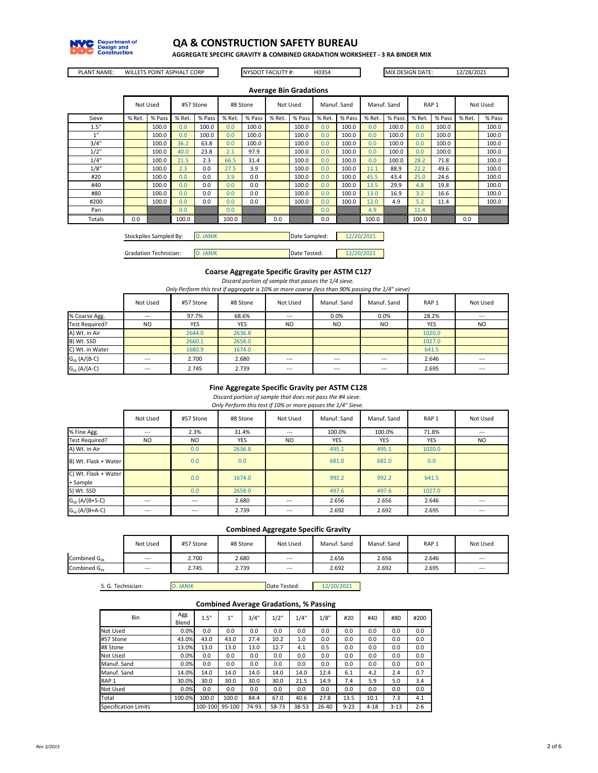

**AGGREGATE SPECIFIC GRAVITY & COMBINED GRADATION WORKSHEET - 3 RA BINDER MIX**

PLANT NAME: WILLETS POINT ASPHALT CORP NYSDOT FACILITY #: H0354 MIX DESIGN DATE: 12/28/2021

NYSDOT FACILITY #:

|        |                       |          |        |           |        |          |        | <b>Average Bin Gradations</b> |        |             |                  |             |        |                  |        |          |
|--------|-----------------------|----------|--------|-----------|--------|----------|--------|-------------------------------|--------|-------------|------------------|-------------|--------|------------------|--------|----------|
|        |                       | Not Used |        | #57 Stone |        | #8 Stone |        | Not Used                      |        | Manuf. Sand |                  | Manuf. Sand |        | RAP <sub>1</sub> |        | Not Used |
| Sieve  | % Ret.                | % Pass   | % Ret. | % Pass    | % Ret. | % Pass   | % Ret. | % Pass                        | % Ret. | % Pass      | % Ret.           | % Pass      | % Ret. | % Pass           | % Ret. | % Pass   |
| 1.5"   |                       | 100.0    | 0.0    | 100.0     | 0.0    | 100.0    |        | 100.0                         | 0.0    | 100.0       | 0.0 <sub>1</sub> | 100.0       | 0.0    | 100.0            |        | 100.0    |
| 1"     |                       | 100.0    | 0.0    | 100.0     | 0.0    | 100.0    |        | 100.0                         | 0.0    | 100.0       | 0.0 <sub>1</sub> | 100.0       | 0.0    | 100.0            |        | 100.0    |
| 3/4"   |                       | 100.0    | 36.2   | 63.8      | 0.0    | 100.0    |        | 100.0                         | 0.0    | 100.0       | 0.0              | 100.0       | 0.0    | 100.0            |        | 100.0    |
| 1/2"   |                       | 100.0    | 40.0   | 23.8      | 2.1    | 97.9     |        | 100.0                         | 0.0    | 100.0       | 0.0 <sub>1</sub> | 100.0       | 0.0    | 100.0            |        | 100.0    |
| 1/4"   |                       | 100.0    | 21.5   | 2.3       | 66.5   | 31.4     |        | 100.0                         | 0.0    | 100.0       | 0.0              | 100.0       | 28.2   | 71.8             |        | 100.0    |
| 1/8"   |                       | 100.0    | 2.3    | 0.0       | 27.5   | 3.9      |        | 100.0                         | 0.0    | 100.0       | 11.1             | 88.9        | 22.2   | 49.6             |        | 100.0    |
| #20    |                       | 100.0    | 0.0    | 0.0       | 3.9    | 0.0      |        | 100.0                         | 0.0    | 100.0       | 45.5             | 43.4        | 25.0   | 24.6             |        | 100.0    |
| #40    |                       | 100.0    | 0.0    | 0.0       | 0.0    | 0.0      |        | 100.0                         | 0.0    | 100.0       | 13.5             | 29.9        | 4.8    | 19.8             |        | 100.0    |
| #80    |                       | 100.0    | 0.0    | 0.0       | 0.0    | 0.0      |        | 100.0                         | 0.0    | 100.0       | 13.0             | 16.9        | 3.2    | 16.6             |        | 100.0    |
| #200   |                       | 100.0    | 0.0    | 0.0       | 0.0    | 0.0      |        | 100.0                         | 0.0    | 100.0       | 12.0             | 4.9         | 5.2    | 11.4             |        | 100.0    |
| Pan    |                       |          | 0.0    |           | 0.0    |          |        |                               | 0.0    |             | 4.9              |             | 11.4   |                  |        |          |
| Totals | 0.0<br>100.0<br>100.0 |          |        |           |        |          |        |                               |        |             | 100.0            |             | 100.0  |                  | 0.0    |          |

| Stockpiles Sampled By:       | D. JANIK | Date Sampled: | 12/20/2021 |
|------------------------------|----------|---------------|------------|
|                              |          |               |            |
| <b>Gradation Technician:</b> | D. JANIK | Date Tested:  | 12/20/2021 |

#### *Discard portion of sample that passes the 1/4 sieve.* **Coarse Aggregate Specific Gravity per ASTM C127**

*Only Perform this test if aggregate is 10% or more coarse (less than 90% passing the 1/4" sieve)*

|                       | Not Used       | #57 Stone  | #8 Stone | Not Used  | Manuf. Sand    | Manuf. Sand    | RAP <sub>1</sub> | Not Used       |
|-----------------------|----------------|------------|----------|-----------|----------------|----------------|------------------|----------------|
| % Coarse Agg.         | $---$          | 97.7%      | 68.6%    | $\cdots$  | 0.0%           | 0.0%           | 28.2%            | $\cdots$       |
| <b>Test Required?</b> | N <sub>O</sub> | <b>YES</b> | YES      | <b>NO</b> | N <sub>O</sub> | N <sub>O</sub> | <b>YES</b>       | N <sub>O</sub> |
| A) Wt. in Air         |                | 2644.0     | 2636.8   |           |                |                | 1020.0           |                |
| B) Wt. SSD            |                | 2660.1     | 2658.0   |           |                |                | 1027.0           |                |
| C) Wt. in Water       |                | 1680.9     | 1674.0   |           |                |                | 641.5            |                |
| $G_{sb}$ (A/(B-C)     | $\cdots$       | 2.700      | 2.680    | $\cdots$  | $\cdots$       | $---$          | 2.646            | $---$          |
| $G_{sa}$ (A/(A-C)     | $\cdots$       | 2.745      | 2.739    | $\cdots$  | $\cdots$       | $---$          | 2.695            | $--$           |

#### **Fine Aggregate Specific Gravity per ASTM C128**

*Only Perform this test if 10% or more passes the 1/4" Sieve. Discard portion of sample that does not pass the #4 sieve.* 

|                                  | Not Used | #57 Stone | #8 Stone   | Not Used | Manuf. Sand | Manuf, Sand | RAP <sub>1</sub> | Not Used |
|----------------------------------|----------|-----------|------------|----------|-------------|-------------|------------------|----------|
| % Fine Agg.                      | ---      | 2.3%      | 31.4%      | $---$    | 100.0%      | 100.0%      | 71.8%            | $---$    |
| Test Required?                   | NO.      | NO.       | <b>YES</b> | NO.      | <b>YES</b>  | <b>YES</b>  | <b>YES</b>       | NO.      |
| A) Wt. in Air                    |          | 0.0       | 2636.8     |          | 495.1       | 495.1       | 1020.0           |          |
| B) Wt. Flask + Water             |          | 0.0       | 0.0        |          | 681.0       | 681.0       | 0.0              |          |
| C) Wt. Flask + Water<br>+ Sample |          | 0.0       | 1674.0     |          | 992.2       | 992.2       | 641.5            |          |
| S) Wt. SSD                       |          | 0.0       | 2658.0     |          | 497.6       | 497.6       | 1027.0           |          |
| $G_{sb}$ (A/(B+S-C)              | ---      | ---       | 2.680      | $\cdots$ | 2.656       | 2.656       | 2.646            | ---      |
| $G_{sa}$ (A/(B+A-C)              | ---      | ---       | 2.739      | $\cdots$ | 2.692       | 2.692       | 2.695            | ---      |

**Combined Aggregate Specific Gravity**

|                          | Not Used | #57 Stone | #8 Stone | Not Used | Manuf. Sand | Manuf. Sand | RAP <sub>1</sub> | Not Used                 |
|--------------------------|----------|-----------|----------|----------|-------------|-------------|------------------|--------------------------|
| Combined G <sub>sh</sub> | $\cdots$ | 2.700     | 2.680    | $---$    | 2.656       | 2.656       | 2.646            | $\hspace{0.05cm} \ldots$ |
| Combined G <sub>sa</sub> | $---$    | 2.745     | 2.739    | $---$    | 2.692       | 2.692       | 2.695            | $---$                    |

S. G. Technician:

D. JANIK Date Tested: 2/20/2021

#### **Combined Average Gradations, % Passing**

|                             |              |         |        | -     |       |           | -     |          |          |          |         |
|-----------------------------|--------------|---------|--------|-------|-------|-----------|-------|----------|----------|----------|---------|
| Bin                         | Agg<br>Blend | 1.5"    | 1"     | 3/4"  | 1/2"  | 1/4"      | 1/8"  | #20      | #40      | #80      | #200    |
| Not Used                    | 0.0%         | 0.0     | 0.0    | 0.0   | 0.0   | 0.0       | 0.0   | 0.0      | 0.0      | 0.0      | 0.0     |
| #57 Stone                   | 43.0%        | 43.0    | 43.0   | 27.4  | 10.2  | 1.0       | 0.0   | 0.0      | 0.0      | 0.0      | 0.0     |
| #8 Stone                    | 13.0%        | 13.0    | 13.0   | 13.0  | 12.7  | 4.1       | 0.5   | 0.0      | 0.0      | 0.0      | 0.0     |
| Not Used                    | 0.0%         | 0.0     | 0.0    | 0.0   | 0.0   | 0.0       | 0.0   | 0.0      | 0.0      | 0.0      | 0.0     |
| Manuf. Sand                 | 0.0%         | 0.0     | 0.0    | 0.0   | 0.0   | 0.0       | 0.0   | 0.0      | 0.0      | 0.0      | 0.0     |
| Manuf, Sand                 | 14.0%        | 14.0    | 14.0   | 14.0  | 14.0  | 14.0      | 12.4  | 6.1      | 4.2      | 2.4      | 0.7     |
| RAP <sub>1</sub>            | 30.0%        | 30.0    | 30.0   | 30.0  | 30.0  | 21.5      | 14.9  | 7.4      | 5.9      | 5.0      | 3.4     |
| Not Used                    | 0.0%         | 0.0     | 0.0    | 0.0   | 0.0   | 0.0       | 0.0   | 0.0      | 0.0      | 0.0      | 0.0     |
| Total                       | 100.0%       | 100.0   | 100.0  | 84.4  | 67.0  | 40.6      | 27.8  | 13.5     | 10.1     | 7.3      | 4.1     |
| <b>Specification Limits</b> |              | 100-100 | 95-100 | 74-93 | 58-73 | $38 - 53$ | 26-40 | $9 - 23$ | $4 - 18$ | $3 - 13$ | $2 - 6$ |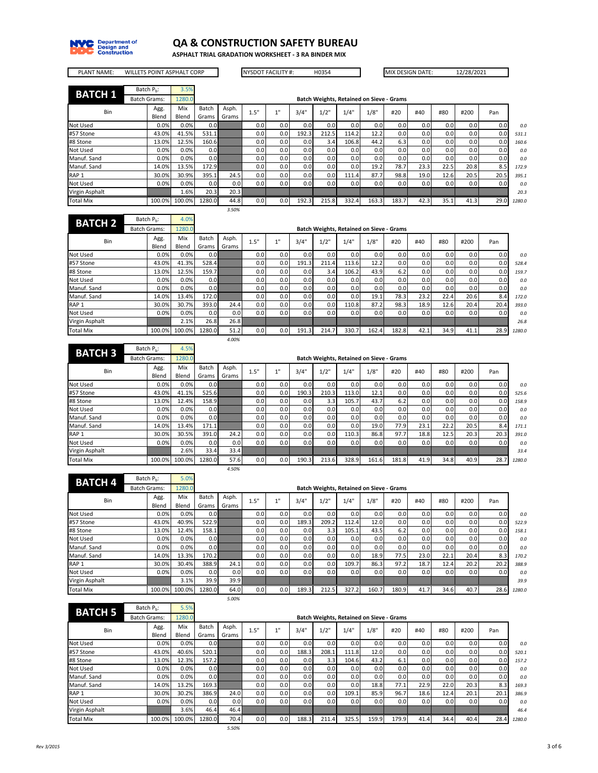

Not Used Virgin Asphalt Total Mix

## **QA & CONSTRUCTION SAFETY BUREAU**

**ASPHALT TRIAL GRADATION WORKSHEET - 3 RA BINDER MIX**

×

J,

| <b>WILLETS POINT ASPHALT CORP</b><br><b>PLANT NAME:</b> |                     |                        |              |                | <b>NYSDOT FACILITY #:</b> |      |     | H0354 |       |                                          |       | MIX DESIGN DATE: |      | 12/28/2021 |      |      |        |
|---------------------------------------------------------|---------------------|------------------------|--------------|----------------|---------------------------|------|-----|-------|-------|------------------------------------------|-------|------------------|------|------------|------|------|--------|
| <b>BATCH 1</b>                                          |                     | Batch P <sub>h</sub> : | 3.5%         |                |                           |      |     |       |       |                                          |       |                  |      |            |      |      |        |
|                                                         | <b>Batch Grams:</b> |                        | 1280.0       |                |                           |      |     |       |       | Batch Weights, Retained on Sieve - Grams |       |                  |      |            |      |      |        |
| Bin                                                     |                     | Agg.<br>Blend          | Mix<br>Blend | Batch<br>Grams | Asph.<br>Grams            | 1.5" | 1"  | 3/4"  | 1/2"  | 1/4"                                     | 1/8"  | #20              | #40  | #80        | #200 | Pan  |        |
| Not Used                                                |                     | 0.0%                   | 0.0%         | 0.0            |                           | 0.0  | 0.0 | 0.0   | 0.0   | 0.0                                      | 0.0   | 0.0              | 0.0  | 0.0        | 0.0  | 0.0  | 0.0    |
| #57 Stone                                               |                     | 43.0%                  | 41.5%        | 531.1          |                           | 0.0  | 0.0 | 192.3 | 212.5 | 114.2                                    | 12.2  | 0.0              | 0.0  | 0.0        | 0.0  | 0.0  | 531.1  |
| #8 Stone                                                |                     | 13.0%                  | 12.5%        | 160.6          |                           | 0.0  | 0.0 | 0.0   | 3.4   | 106.8                                    | 44.2  | 6.3              | 0.0  | 0.0        | 0.0  | 0.0  | 160.6  |
| <b>Not Used</b>                                         |                     | 0.0%                   | 0.0%         | 0.0            |                           | 0.0  | 0.0 | 0.0   | 0.0   | 0.0                                      | 0.0   | 0.0              | 0.0  | 0.0        | 0.0  | 0.0  | 0.0    |
| Manuf. Sand                                             |                     | 0.0%                   | 0.0%         | 0.0            |                           | 0.0  | 0.0 | 0.0   | 0.0   | 0.0                                      | 0.0   | 0.0              | 0.0  | 0.0        | 0.0  | 0.0  | 0.0    |
| Manuf. Sand                                             |                     | 14.0%                  | 13.5%        | 172.9          |                           | 0.0  | 0.0 | 0.0   | 0.0   | 0.0                                      | 19.2  | 78.7             | 23.3 | 22.5       | 20.8 | 8.5  | 172.9  |
| RAP <sub>1</sub>                                        |                     | 30.0%                  | 30.9%        | 395.1          | 24.5                      | 0.0  | 0.0 | 0.0   | 0.0   | 111.4                                    | 87.7  | 98.8             | 19.0 | 12.6       | 20.5 | 20.5 | 395.1  |
| <b>Not Used</b>                                         |                     | 0.0%                   | 0.0%         | 0.0            | 0.0                       | 0.0  | 0.0 | 0.0   | 0.0   | 0.0                                      | 0.0   | 0.0              | 0.0  | 0.0        | 0.0  | 0.0  | 0.0    |
| Virgin Asphalt                                          |                     |                        | 1.6%         | 20.3           | 20.3                      |      |     |       |       |                                          |       |                  |      |            |      |      | 20.3   |
| <b>Total Mix</b>                                        |                     | 100.0%                 | 100.0%       | 1280.0         | 44.8                      | 0.0  | 0.0 | 192.3 | 215.8 | 332.4                                    | 163.3 | 183.7            | 42.3 | 35.1       | 41.3 | 29.0 | 1280.0 |
|                                                         |                     |                        |              |                | 3.50%                     |      |     |       |       |                                          |       |                  |      |            |      |      |        |
| <b>BATCH 2</b>                                          |                     | Batch P <sub>h</sub> : | 4.0%         |                |                           |      |     |       |       |                                          |       |                  |      |            |      |      |        |
|                                                         | <b>Batch Grams:</b> |                        | 1280.0       |                |                           |      |     |       |       | Batch Weights, Retained on Sieve - Grams |       |                  |      |            |      |      |        |
| Bin                                                     |                     | Agg.<br>Blend          | Mix<br>Blend | Batch<br>Grams | Asph.<br>Grams            | 1.5" | 1"  | 3/4"  | 1/2"  | 1/4"                                     | 1/8"  | #20              | #40  | #80        | #200 | Pan  |        |
| <b>Not Used</b>                                         |                     | 0.0%                   | 0.0%         | 0.0            |                           | 0.0  | 0.0 | 0.0   | 0.0   | 0.0                                      | 0.0   | 0.0              | 0.0  | 0.0        | 0.0  | 0.0  | 0.0    |
| #57 Stone                                               |                     | 43.0%                  | 41.3%        | 528.4          |                           | 0.0  | 0.0 | 191.3 | 211.4 | 113.6                                    | 12.2  | 0.0              | 0.0  | 0.0        | 0.0  | 0.0  | 528.4  |
| #8 Stone                                                |                     | 13.0%                  | 12.5%        | 159.7          |                           | 0.0  | 0.0 | 0.0   | 3.4   | 106.2                                    | 43.9  | 6.2              | 0.0  | 0.0        | 0.0  | 0.0  | 159.7  |
| Not Used                                                |                     | 0.0%                   | 0.0%         | 0.0            |                           | 0.0  | 0.0 | 0.0   | 0.0   | 0.0                                      | 0.0   | 0.0              | 0.0  | 0.0        | 0.0  | 0.0  | 0.0    |
| Manuf. Sand                                             |                     | 0.0%                   | 0.0%         | 0.0            |                           | 0.0  | 0.0 | 0.0   | 0.0   | 0.0                                      | 0.0   | 0.0              | 0.0  | 0.0        | 0.0  | 0.0  | 0.0    |
| Manuf. Sand                                             |                     | 14.0%                  | 13.4%        | 172.0          |                           | 0.0  | 0.0 | 0.0   | 0.0   | 0.0                                      | 19.1  | 78.3             | 23.2 | 22.4       | 20.6 | 8.4  | 172.0  |
| RAP <sub>1</sub>                                        |                     | 30.0%                  | 30.7%        | 393.0          | 24.4                      | 0.0  | 0.0 | 0.0   | 0.0   | 110.8                                    | 87.2  | 98.3             | 18.9 | 12.6       | 20.4 | 20.4 | 393.0  |

|                  |                        |              |                | 4.00%          |      |                  |       |                                          |       |       |       |                  |                  |      |      |        |
|------------------|------------------------|--------------|----------------|----------------|------|------------------|-------|------------------------------------------|-------|-------|-------|------------------|------------------|------|------|--------|
| <b>BATCH 3</b>   | Batch P <sub>h</sub> : | 4.5%         |                |                |      |                  |       |                                          |       |       |       |                  |                  |      |      |        |
|                  | <b>Batch Grams:</b>    | 1280.0       |                |                |      |                  |       | Batch Weights, Retained on Sieve - Grams |       |       |       |                  |                  |      |      |        |
| Bin              | Agg.<br>Blend          | Mix<br>Blend | Batch<br>Grams | Asph.<br>Grams | 1.5" | 1"               | 3/4"  | 1/2"                                     | 1/4"  | 1/8"  | #20   | #40              | #80              | #200 | Pan  |        |
| Not Used         | 0.0%                   | 0.0%         | 0.0            |                | 0.0  | 0.0              | 0.0   | 0.0                                      | 0.0   | 0.0   | 0.0   | 0.0 <sub>1</sub> | 0.0              | 0.0  | 0.0  | 0.0    |
| #57 Stone        | 43.0%                  | 41.1%        | 525.6          |                | 0.0  | 0.0              | 190.3 | 210.3                                    | 113.0 | 12.1  | 0.0   | 0.0 <sub>1</sub> | 0.0              | 0.0  | 0.0  | 525.6  |
| #8 Stone         | 13.0%                  | 12.4%        | 158.9          |                | 0.0  | 0.0 <sub>1</sub> | 0.0   | 3.3                                      | 105.7 | 43.7  | 6.2   | 0.0 <sub>1</sub> | 0.0              | 0.0  | 0.0  | 158.9  |
| Not Used         | 0.0%                   | 0.0%         | 0.0            |                | 0.0  | 0.0 <sub>1</sub> | 0.0   | 0.0                                      | 0.0   | 0.0   | 0.0   | 0.01             | 0.0              | 0.0  | 0.0  | 0.0    |
| Manuf. Sand      | 0.0%                   | 0.0%         | 0.0            |                | 0.0  | 0.0 <sub>1</sub> | 0.0   | 0.0                                      | 0.0   | 0.0   | 0.0   | 0.0 <sub>1</sub> | 0.0 <sub>1</sub> | 0.0  | 0.0  | 0.0    |
| Manuf. Sand      | 14.0%                  | 13.4%        | 171.1          |                | 0.0  | 0.0 <sub>1</sub> | 0.0   | 0.0                                      | 0.0   | 19.0  | 77.9  | 23.1             | 22.2             | 20.5 | 8.4  | 171.1  |
| RAP <sub>1</sub> | 30.0%                  | 30.5%        | 391.0          | 24.2           | 0.0  | 0.0              | 0.0   | 0.0                                      | 110.3 | 86.8  | 97.7  | 18.8             | 12.5             | 20.3 | 20.3 | 391.0  |
| Not Used         | 0.0%                   | 0.0%         | 0.0            | 0.0            | 0.0  | 0.0 <sub>1</sub> | 0.0   | 0.0                                      | 0.0   | 0.0   | 0.0   | 0.0 <sub>1</sub> | 0.0              | 0.0  | 0.0  | 0.0    |
| Virgin Asphalt   |                        | 2.6%         | 33.4           | 33.4           |      |                  |       |                                          |       |       |       |                  |                  |      |      | 33.4   |
| Total Mix        | 100.0%                 | 100.0%       | 1280.0         | 57.6           | 0.0  | 0.0              | 190.3 | 213.6                                    | 328.9 | 161.6 | 181.8 | 41.9             | 34.8             | 40.9 | 28.7 | 1280.0 |
|                  |                        |              |                | 4.50%          |      |                  |       |                                          |       |       |       |                  |                  |      |      |        |

30.0% 30.7% 393.0 24.4 0.0 0.0 0.0 0.0 110.8 87.2 98.3 18.9 12.6 20.4 20.4 *393.0* 0.0% 0.0% 0.0 0.0 0.0 0.0 0.0 0.0 0.0 0.0 0.0 0.0 0.0 0.0 0.0 *0.0* 2.1% 26.8 26.8 *26.8* 100.0% 100.0% 1280.0 51.2 0.0 0.0 191.3 214.7 330.7 162.4 182.8 42.1 34.9 41.1 28.9 *1280.0*

| <b>BATCH 4</b>   | Batch $P_h$ :       | 5.0%         |                |                |                  |     |       |       |       |                                          |       |      |      |                  |      |        |
|------------------|---------------------|--------------|----------------|----------------|------------------|-----|-------|-------|-------|------------------------------------------|-------|------|------|------------------|------|--------|
|                  | <b>Batch Grams:</b> | 1280.0       |                |                |                  |     |       |       |       | Batch Weights, Retained on Sieve - Grams |       |      |      |                  |      |        |
| Bin              | Agg.<br>Blend       | Mix<br>Blend | Batch<br>Grams | Asph.<br>Grams | 1.5"             | 4H  | 3/4"  | 1/2"  | 1/4"  | 1/8"                                     | #20   | #40  | #80  | #200             | Pan  |        |
| Not Used         | 0.0%                | 0.0%         | 0.01           |                | 0.0              | 0.0 | 0.0   | 0.0   | 0.0   | 0.0                                      | 0.0   | 0.0  | 0.0  | 0.0 <sub>l</sub> | 0.0  | 0.0    |
| #57 Stone        | 43.0%               | 40.9%        | 522.9          |                | 0.0              | 0.0 | 189.3 | 209.2 | 112.4 | 12.0                                     | 0.0   | 0.0  | 0.0  | 0.0 <sub>l</sub> | 0.0  | 522.9  |
| #8 Stone         | 13.0%               | 12.4%        | 158.1          |                | 0.0              | 0.0 | 0.0   | 3.3   | 105.1 | 43.5                                     | 6.2   | 0.0  | 0.0  | 0.0 <sub>l</sub> | 0.0  | 158.1  |
| Not Used         | 0.0%                | 0.0%         | 0.0            |                | 0.0 <sub>1</sub> | 0.0 | 0.0   | 0.0   | 0.0   | 0.0                                      | 0.0   | 0.0  | 0.0  | 0.0 <sub>l</sub> | 0.0  | 0.0    |
| Manuf. Sand      | 0.0%                | 0.0%         | 0.01           |                | 0.0              | 0.0 | 0.0   | 0.0   | 0.0   | 0.0                                      | 0.0   | 0.0  | 0.0  | 0.0 <sub>l</sub> | 0.0  | 0.0    |
| Manuf. Sand      | 14.0%               | 13.3%        | 170.2          |                | 0.0              | 0.0 | 0.0   | 0.0   | 0.0   | 18.9                                     | 77.5  | 23.0 | 22.1 | 20.4             | 8.3  | 170.2  |
| RAP <sub>1</sub> | 30.0%               | 30.4%        | 388.9          | 24.1           | 0.0              | 0.0 | 0.0   | 0.0   | 109.7 | 86.3                                     | 97.2  | 18.7 | 12.4 | 20.2             | 20.2 | 388.9  |
| Not Used         | 0.0%                | 0.0%         | 0.01           | 0.0            | 0.0              | 0.0 | 0.0   | 0.0   | 0.0   | 0.0                                      | 0.0   | 0.0  | 0.0  | 0.0 <sub>1</sub> | 0.0  | 0.0    |
| Virgin Asphalt   |                     | 3.1%         | 39.9           | 39.9           |                  |     |       |       |       |                                          |       |      |      |                  |      | 39.9   |
| Total Mix        | 100.0%              | 100.0%       | 1280.0         | 64.0           | 0.0 <sub>1</sub> | 0.0 | 189.3 | 212.5 | 327.2 | 160.7                                    | 180.9 | 41.7 | 34.6 | 40.7             | 28.6 | 1280.0 |
|                  |                     |              |                | 5.00%          |                  |     |       |       |       |                                          |       |      |      |                  |      |        |

| <b>BATCH 5</b>   | Batch P <sub>h</sub> : | 5.5%         |                  |                |      |                  |                  |       |       |                                          |       |                  |                  |      |      |        |
|------------------|------------------------|--------------|------------------|----------------|------|------------------|------------------|-------|-------|------------------------------------------|-------|------------------|------------------|------|------|--------|
|                  | <b>Batch Grams:</b>    | 1280.0       |                  |                |      |                  |                  |       |       | Batch Weights, Retained on Sieve - Grams |       |                  |                  |      |      |        |
| Bin              | Agg.<br>Blend          | Mix<br>Blend | Batch<br>Grams   | Asph.<br>Grams | 1.5" | 411              | 3/4"             | 1/2"  | 1/4"  | 1/8"                                     | #20   | #40              | #80              | #200 | Pan  |        |
| Not Used         | 0.0%                   | 0.0%         | 0.0              |                | 0.0  | 0.0              | 0.0              | 0.0   | 0.0   | 0.0                                      | 0.0   | 0.0              | 0.0              | 0.0  | 0.0  | 0.0    |
| #57 Stone        | 43.0%                  | 40.6%        | 520.1            |                | 0.0  | 0.0              | 188.3            | 208.1 | 111.8 | 12.0                                     | 0.0   | 0.0 <sub>1</sub> | 0.0              | 0.0  | 0.0  | 520.1  |
| #8 Stone         | 13.0%                  | 12.3%        | 157.2            |                | 0.0  | 0.0              | 0.0              | 3.3   | 104.6 | 43.2                                     | 6.1   | 0.0 <sub>1</sub> | 0.0              | 0.0  | 0.0  | 157.2  |
| Not Used         | 0.0%                   | 0.0%         | 0.0 <sub>1</sub> |                | 0.0  | 0.0              | 0.0 <sub>1</sub> | 0.0   | 0.0   | 0.0                                      | 0.0   | 0.0 <sub>1</sub> | 0.0 <sub>1</sub> | 0.0  | 0.0  | 0.0    |
| Manuf. Sand      | 0.0%                   | 0.0%         | 0.0              |                | 0.0  | 0.0              | 0.0 <sub>1</sub> | 0.0   | 0.0   | 0.0                                      | 0.0   | 0.0 <sub>1</sub> | 0.0              | 0.0  | 0.0  | 0.0    |
| Manuf. Sand      | 14.0%                  | 13.2%        | 169.3            |                | 0.0  | 0.0              | 0.0 <sub>1</sub> | 0.0   | 0.0   | 18.8                                     | 77.1  | 22.9             | 22.0             | 20.3 | 8.3  | 169.3  |
| RAP <sub>1</sub> | 30.0%                  | 30.2%        | 386.9            | 24.0           | 0.0  | 0.0              | 0.0              | 0.0   | 109.1 | 85.9                                     | 96.7  | 18.6             | 12.4             | 20.1 | 20.1 | 386.9  |
| Not Used         | 0.0%                   | 0.0%         | 0.0              | 0.0            | 0.0  | 0.0 <sub>1</sub> | 0.0 <sub>1</sub> | 0.0   | 0.0   | 0.0                                      | 0.0   | 0.0 <sub>1</sub> | 0.0              | 0.0  | 0.0  | 0.0    |
| Virgin Asphalt   |                        | 3.6%         | 46.4             | 46.4           |      |                  |                  |       |       |                                          |       |                  |                  |      |      | 46.4   |
| <b>Total Mix</b> | 100.0%                 | 100.0%       | 1280.0           | 70.4           | 0.0  | 0.0              | 188.3            | 211.4 | 325.5 | 159.9                                    | 179.9 | 41.4             | 34.4             | 40.4 | 28.4 | 1280.0 |
|                  |                        |              |                  | 5.50%          |      |                  |                  |       |       |                                          |       |                  |                  |      |      |        |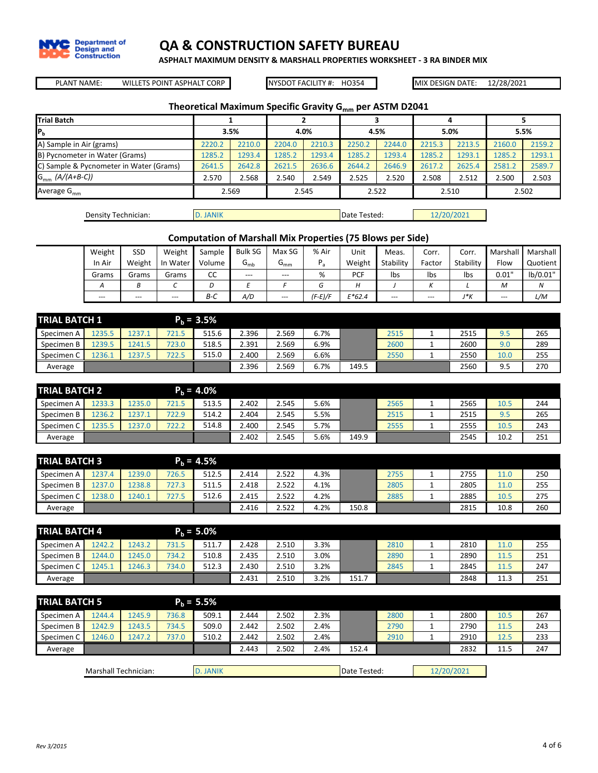

**ASPHALT MAXIMUM DENSITY & MARSHALL PROPERTIES WORKSHEET - 3 RA BINDER MIX**

WILLETS POINT ASPHALT CORP NYSDOT FACILITY #: PLANT NAME: MIX DESIGN DATE:

NYSDOT FACILITY #: HO354

12/28/2021

 $\mathcal{L}_{\mathcal{A}}$ 

## **Theoretical Maximum Specific Gravity Gmm per ASTM D2041**

| <b>Trial Batch</b>                      |        |        |        |        |        |        |        |        |        |        |
|-----------------------------------------|--------|--------|--------|--------|--------|--------|--------|--------|--------|--------|
| IР <sub>ь</sub>                         |        | 3.5%   |        | 4.0%   |        | 4.5%   |        | 5.0%   |        | 5.5%   |
| A) Sample in Air (grams)                | 2220.2 | 2210.0 | 2204.0 | 2210.3 | 2250.2 | 2244.0 | 2215.3 | 2213.5 | 2160.0 | 2159.2 |
| B) Pycnometer in Water (Grams)          | 1285.2 | 1293.4 | 1285.2 | 1293.4 | 1285.2 | 1293.4 | 1285.2 | 1293.1 | 1285.2 | 1293.1 |
| C) Sample & Pycnometer in Water (Grams) | 2641.5 | 2642.8 | 2621.5 | 2636.6 | 2644.2 | 2646.9 | 2617.2 | 2625.4 | 2581.2 | 2589.7 |
| $G_{mm}$ (A/(A+B-C))                    | 2.570  | 2.568  | 2.540  | 2.549  | 2.525  | 2.520  | 2.508  | 2.512  | 2.500  | 2.503  |
| Average $G_{mm}$                        |        | 2.569  |        | 2.545  |        | 2.522  |        | 2.510  |        | 2.502  |
|                                         |        |        |        |        |        |        |        |        |        |        |

| Density Technician: | <b>D. JANIK</b> | Date Tested: | 12/20/2021 |
|---------------------|-----------------|--------------|------------|
|---------------------|-----------------|--------------|------------|

## **Computation of Marshall Mix Properties (75 Blows per Side)**

| Weight                    | SSD    | Weight   | Sample | <b>Bulk SG</b> | Max SG          | % Air   | Unit       | Meas.     | Corr.  | Corr.     | Marshall | Marshall |
|---------------------------|--------|----------|--------|----------------|-----------------|---------|------------|-----------|--------|-----------|----------|----------|
| In Air                    | Weight | In Water | Volume | $G_{mb}$       | Կ <sub>mm</sub> |         | Weight     | Stability | Factor | Stability | Flow     | Quotient |
| Grams                     | Grams  | Grams    | CC     | $- - -$        | $---$           | %       | <b>PCF</b> | Ibs       | Ibs    | Ibs       | 0.01"    | lb/0.01" |
| $\boldsymbol{\mathsf{A}}$ |        |          |        |                |                 |         |            |           |        |           | M        | Ν        |
| $---$                     | $---$  | $---$    | $B-C$  | A/D            | $---$           | (F-E)/F | $E*62.4$   | ---       | $---$  | J*K       | $- - -$  | L/M      |

| <b>TRIAL BATCH 1</b> |        |        |       | $P_b = 3.5\%$ |       |       |      |       |      |   |      |      |     |
|----------------------|--------|--------|-------|---------------|-------|-------|------|-------|------|---|------|------|-----|
| Specimen A           | 1235.5 | 1237.1 | 721.5 | 515.6         | 2.396 | 2.569 | 6.7% |       | 2515 | - | 2515 | 9.5  | 265 |
| Specimen B           | .239.5 | 1241.5 | 723.0 | 518.5         | 2.391 | 2.569 | 6.9% |       | 2600 |   | 2600 | 9.0  | 289 |
| Specimen C           | 1236.1 | 1237.5 | 722.5 | 515.0         | 2.400 | 2.569 | 6.6% |       | 2550 |   | 2550 | 10.0 | 255 |
| Average              |        |        |       |               | 2.396 | 2.569 | 6.7% | 149.5 |      |   | 2560 | 9.5  | 270 |

| <b>TRIAL BATCH 2</b> |        |        |       | $P_h = 4.0\%$ |       |       |      |       |      |   |      |      |     |
|----------------------|--------|--------|-------|---------------|-------|-------|------|-------|------|---|------|------|-----|
| Specimen A           | 1233.3 | 1235.0 | 721.5 | 513.5         | 2.402 | 2.545 | 5.6% |       | 2565 |   | 2565 | 10.5 | 244 |
| Specimen B           | 1236.2 | 1237.1 | 722.9 | 514.2         | 2.404 | 2.545 | 5.5% |       | 2515 | ۰ | 2515 | 9.5  | 265 |
| Specimen C           | 1235.5 | 1237.0 | 722.2 | 514.8         | 2.400 | 2.545 | 5.7% |       | 2555 |   | 2555 | 10.5 | 243 |
| Average              |        |        |       |               | 2.402 | 2.545 | 5.6% | 149.9 |      |   | 2545 | 10.2 | 251 |

|            | <b>TRIAL BATCH 3</b><br>$P_h = 4.5\%$ |        |       |       |       |       |      |       |      |   |      |      |     |
|------------|---------------------------------------|--------|-------|-------|-------|-------|------|-------|------|---|------|------|-----|
| Specimen A | .237.4                                | 239.0  | 726.5 | 512.5 | 2.414 | 2.522 | 4.3% |       | 2755 |   | 2755 | 11.0 | 250 |
| Specimen B | 1237.0                                | .238.8 | 727.3 | 511.5 | 2.418 | 2.522 | 4.1% |       | 2805 | - | 2805 | 11.0 | 255 |
| Specimen C | .238.0                                | 1240.1 | 727.5 | 512.6 | 2.415 | 2.522 | 4.2% |       | 2885 |   | 2885 | 10.5 | 275 |
| Average    |                                       |        |       |       | 2.416 | 2.522 | 4.2% | 150.8 |      |   | 2815 | 10.8 | 260 |

| <b>TRIAL BATCH 4</b> |                    |        |       | $P_h = 5.0\%$ |       |       |      |      |      |      |      |     |
|----------------------|--------------------|--------|-------|---------------|-------|-------|------|------|------|------|------|-----|
| Specimen A           | 1242.2             | 1243.2 | 731.5 | 511.7         | 2.428 | 2.510 | 3.3% |      | 2810 | 2810 |      | 255 |
| Specimen B           | 1244.0             | 1245.0 | 734.2 | 510.8         | 2.435 | 2.510 | 3.0% |      | 2890 | 2890 | 11   | 251 |
| Specimen C           | L <sub>245.1</sub> | .246.3 | 734.0 | 512.3         | 2.430 | 2.510 | 3.2% |      | 2845 | 2845 | 11   | 247 |
| Average              |                    |        |       |               | 2.431 | 2.510 | 3.2% | 151. |      | 2848 | 11.3 | 251 |

|                      | <b>TRIAL BATCH 5</b><br>$P_h = 5.5%$ |        |          |       |       |       |                            |       |      |  |      |      |     |
|----------------------|--------------------------------------|--------|----------|-------|-------|-------|----------------------------|-------|------|--|------|------|-----|
| Specimen A           | 1244.4                               | 1245.9 | 736.8    | 509.1 | 2.444 | 2.502 | 2.3%                       |       | 2800 |  | 2800 | 10.5 | 267 |
| Specimen B           | 1242.9                               | 1243.5 | 734.5    | 509.0 | 2.442 | 2.502 | 2.4%                       |       | 2790 |  | 2790 | 11.5 | 243 |
| Specimen C           | 1246.0                               | 1247.2 | 737.0    | 510.2 | 2.442 | 2.502 | 2.4%                       |       | 2910 |  | 2910 | 12.5 | 233 |
| Average              |                                      |        |          |       | 2.443 | 2.502 | 2.4%                       | 152.4 |      |  | 2832 | 11.5 | 247 |
|                      |                                      |        |          |       |       |       |                            |       |      |  |      |      |     |
| Marshall Technician: |                                      |        | D. JANIK |       |       |       | 12/20/2021<br>Date Tested: |       |      |  |      |      |     |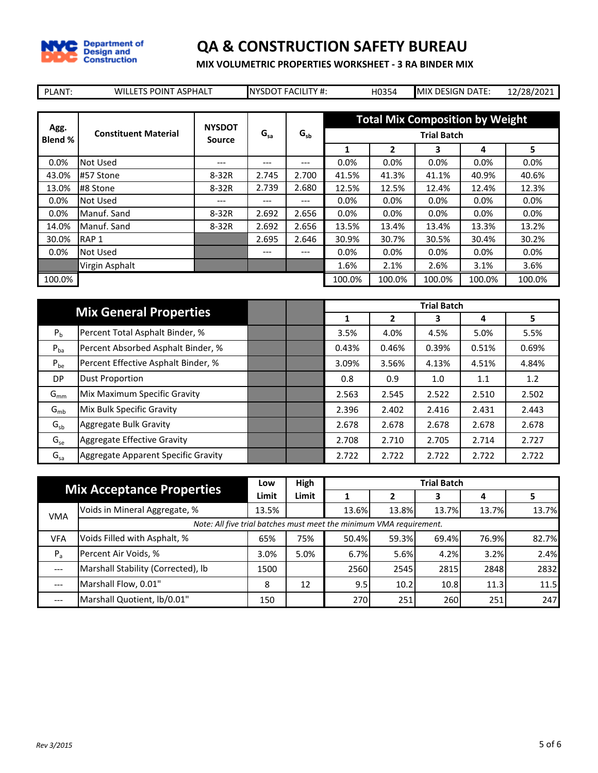

**MIX VOLUMETRIC PROPERTIES WORKSHEET - 3 RA BINDER MIX**

| PLANT:  | <b>WILLETS POINT ASPHALT</b> |               |          | <b>NYSDOT FACILITY #:</b> |        | H0354   | MIX DESIGN DATE:                                             |         | 12/28/2021 |
|---------|------------------------------|---------------|----------|---------------------------|--------|---------|--------------------------------------------------------------|---------|------------|
| Agg.    | <b>Constituent Material</b>  | <b>NYSDOT</b> | $G_{sa}$ | $G_{sb}$                  |        |         | <b>Total Mix Composition by Weight</b><br><b>Trial Batch</b> |         |            |
| Blend % |                              | <b>Source</b> |          |                           | 1      | 2       | 3                                                            | 4       | 5          |
| 0.0%    | Not Used                     | ---           | $---$    | ---                       | 0.0%   | $0.0\%$ | 0.0%                                                         | $0.0\%$ | $0.0\%$    |
| 43.0%   | #57 Stone                    | 8-32R         | 2.745    | 2.700                     | 41.5%  | 41.3%   | 41.1%                                                        | 40.9%   | 40.6%      |
| 13.0%   | #8 Stone                     | 8-32R         | 2.739    | 2.680                     | 12.5%  | 12.5%   | 12.4%                                                        | 12.4%   | 12.3%      |
| $0.0\%$ | Not Used                     | ---           | $- - -$  | $---$                     | 0.0%   | 0.0%    | 0.0%                                                         | 0.0%    | $0.0\%$    |
| $0.0\%$ | Manuf. Sand                  | 8-32R         | 2.692    | 2.656                     | 0.0%   | 0.0%    | 0.0%                                                         | $0.0\%$ | 0.0%       |
| 14.0%   | Manuf. Sand                  | 8-32R         | 2.692    | 2.656                     | 13.5%  | 13.4%   | 13.4%                                                        | 13.3%   | 13.2%      |
| 30.0%   | RAP <sub>1</sub>             |               | 2.695    | 2.646                     | 30.9%  | 30.7%   | 30.5%                                                        | 30.4%   | 30.2%      |
| 0.0%    | Not Used                     |               | ---      | $---$                     | 0.0%   | 0.0%    | 0.0%                                                         | 0.0%    | $0.0\%$    |
|         | Virgin Asphalt               |               |          |                           | 1.6%   | 2.1%    | 2.6%                                                         | 3.1%    | 3.6%       |
| 100.0%  |                              |               |          |                           | 100.0% | 100.0%  | 100.0%                                                       | 100.0%  | 100.0%     |

|                | <b>Mix General Properties</b>       |  |       |       | <b>Trial Batch</b> |       |       |
|----------------|-------------------------------------|--|-------|-------|--------------------|-------|-------|
|                |                                     |  | 1     | 2     | 3                  | 4     | 5.    |
| P <sub>b</sub> | Percent Total Asphalt Binder, %     |  | 3.5%  | 4.0%  | 4.5%               | 5.0%  | 5.5%  |
| $P_{ba}$       | Percent Absorbed Asphalt Binder, %  |  | 0.43% | 0.46% | 0.39%              | 0.51% | 0.69% |
| $P_{be}$       | Percent Effective Asphalt Binder, % |  | 3.09% | 3.56% | 4.13%              | 4.51% | 4.84% |
| DP             | <b>Dust Proportion</b>              |  | 0.8   | 0.9   | 1.0                | 1.1   | 1.2   |
| $G_{mm}$       | Mix Maximum Specific Gravity        |  | 2.563 | 2.545 | 2.522              | 2.510 | 2.502 |
| $G_{mb}$       | Mix Bulk Specific Gravity           |  | 2.396 | 2.402 | 2.416              | 2.431 | 2.443 |
| $G_{sb}$       | Aggregate Bulk Gravity              |  | 2.678 | 2.678 | 2.678              | 2.678 | 2.678 |
| $G_{se}$       | Aggregate Effective Gravity         |  | 2.708 | 2.710 | 2.705              | 2.714 | 2.727 |
| $G_{sa}$       | Aggregate Apparent Specific Gravity |  | 2.722 | 2.722 | 2.722              | 2.722 | 2.722 |

|            | <b>Mix Acceptance Properties</b>                                    |       | High  | <b>Trial Batch</b> |       |       |       |       |  |  |  |  |
|------------|---------------------------------------------------------------------|-------|-------|--------------------|-------|-------|-------|-------|--|--|--|--|
|            |                                                                     | Limit | Limit |                    |       |       |       |       |  |  |  |  |
| <b>VMA</b> | Voids in Mineral Aggregate, %                                       | 13.5% |       | 13.6%              | 13.8% | 13.7% | 13.7% | 13.7% |  |  |  |  |
|            | Note: All five trial batches must meet the minimum VMA requirement. |       |       |                    |       |       |       |       |  |  |  |  |
| <b>VFA</b> | Voids Filled with Asphalt, %                                        | 65%   | 75%   | 50.4%              | 59.3% | 69.4% | 76.9% | 82.7% |  |  |  |  |
| $P_a$      | Percent Air Voids, %                                                | 3.0%  | 5.0%  | 6.7%               | 5.6%  | 4.2%  | 3.2%  | 2.4%  |  |  |  |  |
|            | Marshall Stability (Corrected), lb                                  | 1500  |       | 2560               | 2545  | 2815  | 2848  | 2832  |  |  |  |  |
| ---        | Marshall Flow, 0.01"                                                | 8     | 12    | 9.5                | 10.2  | 10.8  | 11.3  | 11.5  |  |  |  |  |
| $- - -$    | Marshall Quotient, lb/0.01"                                         | 150   |       | 270                | 251   | 260   | 251   | 247   |  |  |  |  |